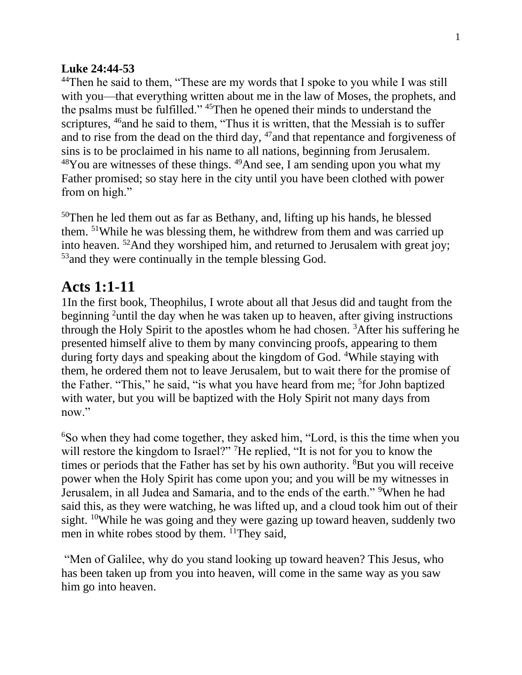## **Luke 24:44-53**

<sup>44</sup>Then he said to them, "These are my words that I spoke to you while I was still with you—that everything written about me in the law of Moses, the prophets, and the psalms must be fulfilled." <sup>45</sup>Then he opened their minds to understand the scriptures, <sup>46</sup>and he said to them, "Thus it is written, that the Messiah is to suffer and to rise from the dead on the third day, <sup>47</sup> and that repentance and forgiveness of sins is to be proclaimed in his name to all nations, beginning from Jerusalem.  $48$ You are witnesses of these things.  $49$ And see, I am sending upon you what my Father promised; so stay here in the city until you have been clothed with power from on high."

 $50$ Then he led them out as far as Bethany, and, lifting up his hands, he blessed them. <sup>51</sup>While he was blessing them, he withdrew from them and was carried up into heaven. <sup>52</sup>And they worshiped him, and returned to Jerusalem with great joy; <sup>53</sup> and they were continually in the temple blessing God.

## **Acts 1:1-11**

1In the first book, Theophilus, I wrote about all that Jesus did and taught from the beginning <sup>2</sup>until the day when he was taken up to heaven, after giving instructions through the Holy Spirit to the apostles whom he had chosen.  ${}^{3}$ After his suffering he presented himself alive to them by many convincing proofs, appearing to them during forty days and speaking about the kingdom of God. <sup>4</sup>While staying with them, he ordered them not to leave Jerusalem, but to wait there for the promise of the Father. "This," he said, "is what you have heard from me; <sup>5</sup>for John baptized with water, but you will be baptized with the Holy Spirit not many days from now."

<sup>6</sup>So when they had come together, they asked him, "Lord, is this the time when you will restore the kingdom to Israel?" <sup>7</sup>He replied, "It is not for you to know the times or periods that the Father has set by his own authority. <sup>8</sup>But you will receive power when the Holy Spirit has come upon you; and you will be my witnesses in Jerusalem, in all Judea and Samaria, and to the ends of the earth." <sup>9</sup>When he had said this, as they were watching, he was lifted up, and a cloud took him out of their sight. <sup>10</sup>While he was going and they were gazing up toward heaven, suddenly two men in white robes stood by them. <sup>11</sup>They said,

"Men of Galilee, why do you stand looking up toward heaven? This Jesus, who has been taken up from you into heaven, will come in the same way as you saw him go into heaven.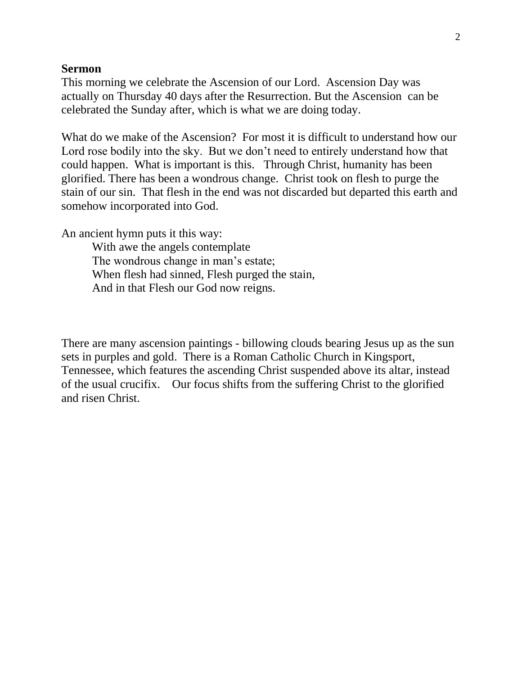## **Sermon**

This morning we celebrate the Ascension of our Lord. Ascension Day was actually on Thursday 40 days after the Resurrection. But the Ascension can be celebrated the Sunday after, which is what we are doing today.

What do we make of the Ascension? For most it is difficult to understand how our Lord rose bodily into the sky. But we don't need to entirely understand how that could happen. What is important is this. Through Christ, humanity has been glorified. There has been a wondrous change. Christ took on flesh to purge the stain of our sin. That flesh in the end was not discarded but departed this earth and somehow incorporated into God.

An ancient hymn puts it this way:

With awe the angels contemplate The wondrous change in man's estate; When flesh had sinned, Flesh purged the stain, And in that Flesh our God now reigns.

There are many ascension paintings - billowing clouds bearing Jesus up as the sun sets in purples and gold. There is a Roman Catholic Church in Kingsport, Tennessee, which features the ascending Christ suspended above its altar, instead of the usual crucifix. Our focus shifts from the suffering Christ to the glorified and risen Christ.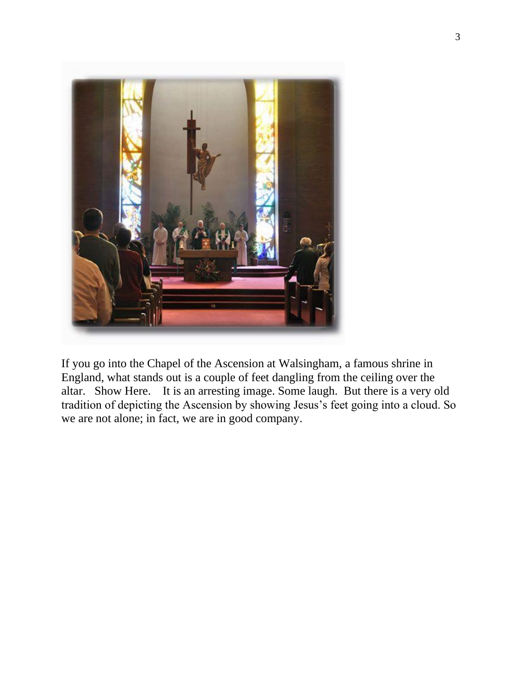

If you go into the Chapel of the Ascension at Walsingham, a famous shrine in England, what stands out is a couple of feet dangling from the ceiling over the altar. Show Here. It is an arresting image. Some laugh. But there is a very old tradition of depicting the Ascension by showing Jesus's feet going into a cloud. So we are not alone; in fact, we are in good company.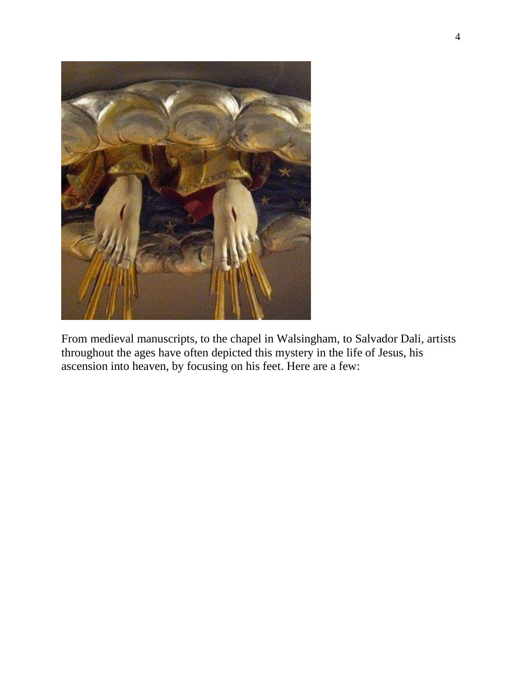

From medieval manuscripts, to the chapel in Walsingham, to Salvador Dali, artists throughout the ages have often depicted this mystery in the life of Jesus, his ascension into heaven, by focusing on his feet. Here are a few: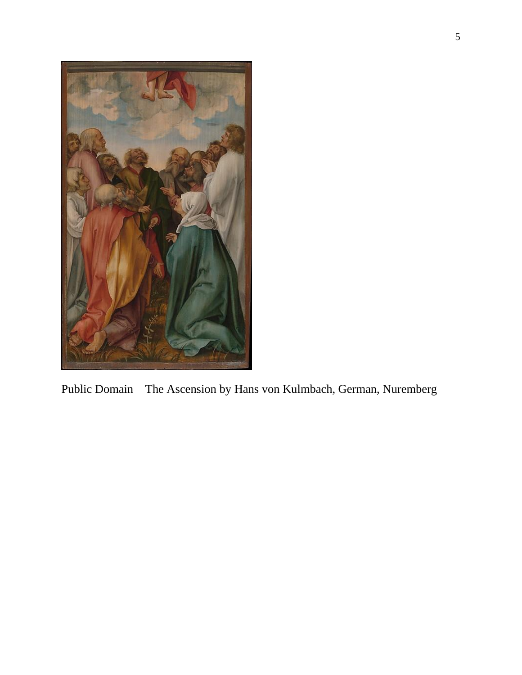

Public Domain The Ascension by Hans von Kulmbach, German, Nuremberg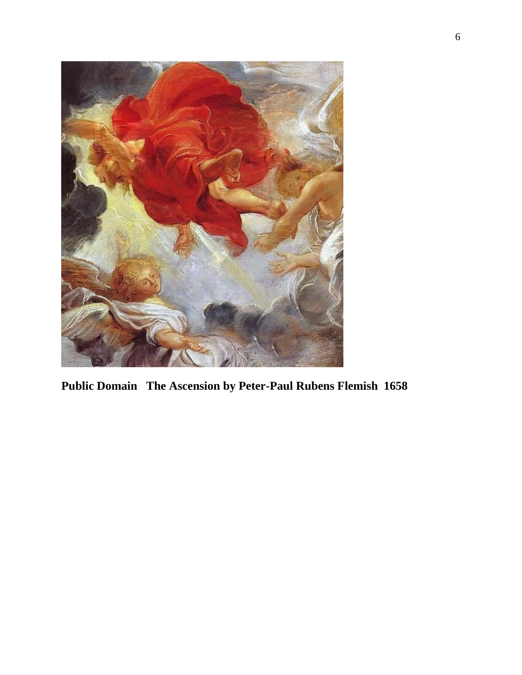

**Public Domain The Ascension by Peter-Paul Rubens Flemish 1658**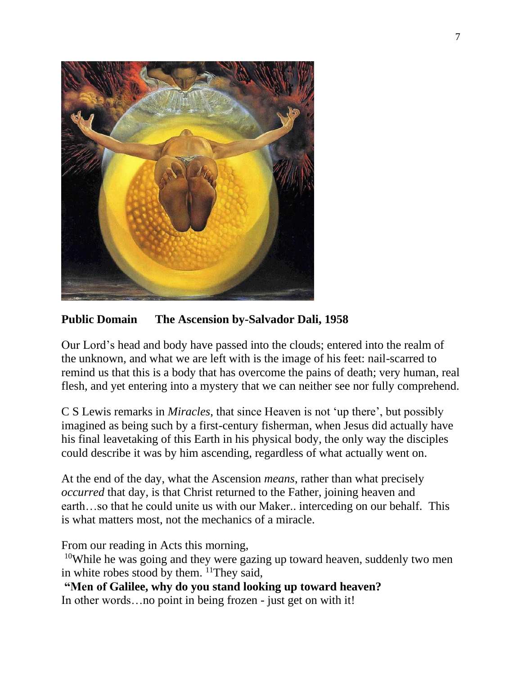

**Public Domain The Ascension by-Salvador Dali, 1958**

Our Lord's head and body have passed into the clouds; entered into the realm of the unknown, and what we are left with is the image of his feet: nail-scarred to remind us that this is a body that has overcome the pains of death; very human, real flesh, and yet entering into a mystery that we can neither see nor fully comprehend.

C S Lewis remarks in *Miracles*, that since Heaven is not 'up there', but possibly imagined as being such by a first-century fisherman, when Jesus did actually have his final leavetaking of this Earth in his physical body, the only way the disciples could describe it was by him ascending, regardless of what actually went on.

At the end of the day, what the Ascension *means*, rather than what precisely *occurred* that day, is that Christ returned to the Father, joining heaven and earth…so that he could unite us with our Maker.. interceding on our behalf. This is what matters most, not the mechanics of a miracle.

From our reading in Acts this morning,

<sup>10</sup>While he was going and they were gazing up toward heaven, suddenly two men in white robes stood by them. <sup>11</sup>They said,

**"Men of Galilee, why do you stand looking up toward heaven?** In other words…no point in being frozen - just get on with it!